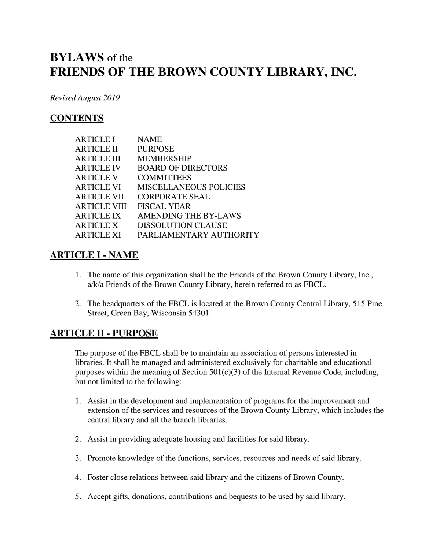# **BYLAWS** of the **FRIENDS OF THE BROWN COUNTY LIBRARY, INC.**

*Revised August 2019*

# **CONTENTS**

| <b>ARTICLE I</b>    | NAME                          |
|---------------------|-------------------------------|
| <b>ARTICLE II</b>   | <b>PURPOSE</b>                |
| <b>ARTICLE III</b>  | MEMBERSHIP                    |
| <b>ARTICLE IV</b>   | <b>BOARD OF DIRECTORS</b>     |
| <b>ARTICLE V</b>    | <b>COMMITTEES</b>             |
| <b>ARTICLE VI</b>   | <b>MISCELLANEOUS POLICIES</b> |
| <b>ARTICLE VII</b>  | <b>CORPORATE SEAL</b>         |
| <b>ARTICLE VIII</b> | FISCAL YEAR                   |
| <b>ARTICLE IX</b>   | <b>AMENDING THE BY-LAWS</b>   |
| <b>ARTICLE X</b>    | <b>DISSOLUTION CLAUSE</b>     |
| <b>ARTICLE XI</b>   | PARLIAMENTARY AUTHORITY       |

# **ARTICLE I - NAME**

- 1. The name of this organization shall be the Friends of the Brown County Library, Inc., a/k/a Friends of the Brown County Library, herein referred to as FBCL.
- 2. The headquarters of the FBCL is located at the Brown County Central Library, 515 Pine Street, Green Bay, Wisconsin 54301.

# **ARTICLE II - PURPOSE**

The purpose of the FBCL shall be to maintain an association of persons interested in libraries. It shall be managed and administered exclusively for charitable and educational purposes within the meaning of Section  $501(c)(3)$  of the Internal Revenue Code, including, but not limited to the following:

- 1. Assist in the development and implementation of programs for the improvement and extension of the services and resources of the Brown County Library, which includes the central library and all the branch libraries.
- 2. Assist in providing adequate housing and facilities for said library.
- 3. Promote knowledge of the functions, services, resources and needs of said library.
- 4. Foster close relations between said library and the citizens of Brown County.
- 5. Accept gifts, donations, contributions and bequests to be used by said library.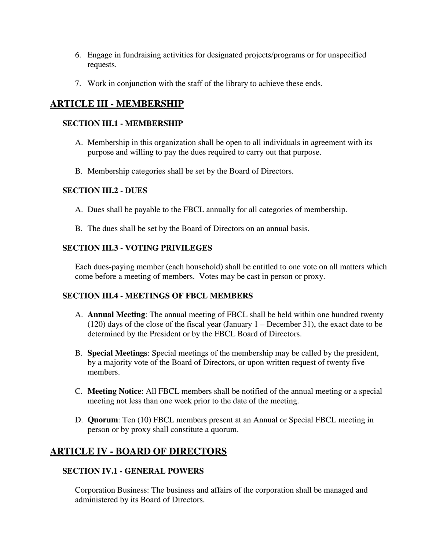- 6. Engage in fundraising activities for designated projects/programs or for unspecified requests.
- 7. Work in conjunction with the staff of the library to achieve these ends.

# **ARTICLE III - MEMBERSHIP**

#### **SECTION III.1 - MEMBERSHIP**

- A. Membership in this organization shall be open to all individuals in agreement with its purpose and willing to pay the dues required to carry out that purpose.
- B. Membership categories shall be set by the Board of Directors.

# **SECTION III.2 - DUES**

- A. Dues shall be payable to the FBCL annually for all categories of membership.
- B. The dues shall be set by the Board of Directors on an annual basis.

# **SECTION III.3 - VOTING PRIVILEGES**

Each dues-paying member (each household) shall be entitled to one vote on all matters which come before a meeting of members. Votes may be cast in person or proxy.

# **SECTION III.4 - MEETINGS OF FBCL MEMBERS**

- A. **Annual Meeting**: The annual meeting of FBCL shall be held within one hundred twenty (120) days of the close of the fiscal year (January 1 – December 31), the exact date to be determined by the President or by the FBCL Board of Directors.
- B. **Special Meetings**: Special meetings of the membership may be called by the president, by a majority vote of the Board of Directors, or upon written request of twenty five members.
- C. **Meeting Notice**: All FBCL members shall be notified of the annual meeting or a special meeting not less than one week prior to the date of the meeting.
- D. **Quorum**: Ten (10) FBCL members present at an Annual or Special FBCL meeting in person or by proxy shall constitute a quorum.

# **ARTICLE IV - BOARD OF DIRECTORS**

# **SECTION IV.1 - GENERAL POWERS**

Corporation Business: The business and affairs of the corporation shall be managed and administered by its Board of Directors.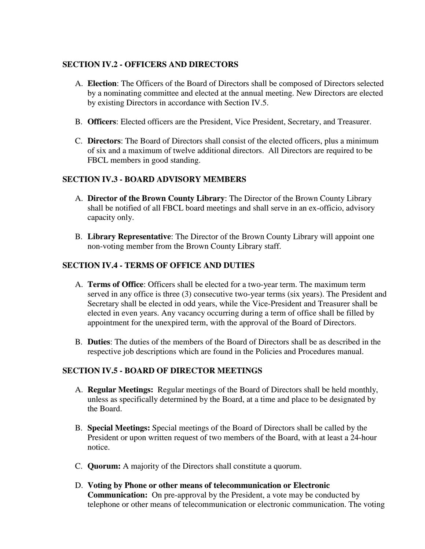#### **SECTION IV.2 - OFFICERS AND DIRECTORS**

- A. **Election**: The Officers of the Board of Directors shall be composed of Directors selected by a nominating committee and elected at the annual meeting. New Directors are elected by existing Directors in accordance with Section IV.5.
- B. **Officers**: Elected officers are the President, Vice President, Secretary, and Treasurer.
- C. **Directors**: The Board of Directors shall consist of the elected officers, plus a minimum of six and a maximum of twelve additional directors. All Directors are required to be FBCL members in good standing.

#### **SECTION IV.3 - BOARD ADVISORY MEMBERS**

- A. **Director of the Brown County Library**: The Director of the Brown County Library shall be notified of all FBCL board meetings and shall serve in an ex-officio, advisory capacity only.
- B. **Library Representative**: The Director of the Brown County Library will appoint one non-voting member from the Brown County Library staff.

#### **SECTION IV.4 - TERMS OF OFFICE AND DUTIES**

- A. **Terms of Office**: Officers shall be elected for a two-year term. The maximum term served in any office is three (3) consecutive two-year terms (six years). The President and Secretary shall be elected in odd years, while the Vice-President and Treasurer shall be elected in even years. Any vacancy occurring during a term of office shall be filled by appointment for the unexpired term, with the approval of the Board of Directors.
- B. **Duties**: The duties of the members of the Board of Directors shall be as described in the respective job descriptions which are found in the Policies and Procedures manual.

#### **SECTION IV.5 - BOARD OF DIRECTOR MEETINGS**

- A. **Regular Meetings:** Regular meetings of the Board of Directors shall be held monthly, unless as specifically determined by the Board, at a time and place to be designated by the Board.
- B. **Special Meetings:** Special meetings of the Board of Directors shall be called by the President or upon written request of two members of the Board, with at least a 24-hour notice.
- C. **Quorum:** A majority of the Directors shall constitute a quorum.
- D. **Voting by Phone or other means of telecommunication or Electronic Communication:** On pre-approval by the President, a vote may be conducted by telephone or other means of telecommunication or electronic communication. The voting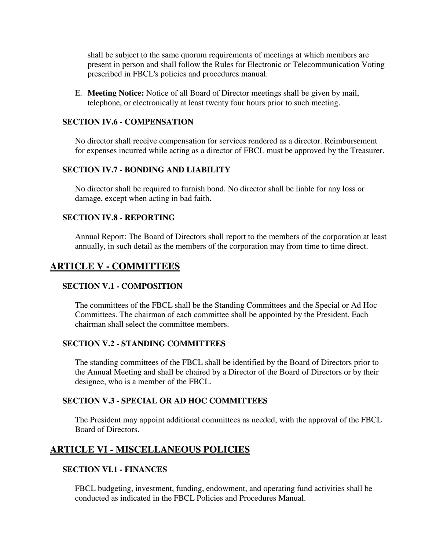shall be subject to the same quorum requirements of meetings at which members are present in person and shall follow the Rules for Electronic or Telecommunication Voting prescribed in FBCL's policies and procedures manual.

E. **Meeting Notice:** Notice of all Board of Director meetings shall be given by mail, telephone, or electronically at least twenty four hours prior to such meeting.

#### **SECTION IV.6 - COMPENSATION**

No director shall receive compensation for services rendered as a director. Reimbursement for expenses incurred while acting as a director of FBCL must be approved by the Treasurer.

#### **SECTION IV.7 - BONDING AND LIABILITY**

No director shall be required to furnish bond. No director shall be liable for any loss or damage, except when acting in bad faith.

#### **SECTION IV.8 - REPORTING**

Annual Report: The Board of Directors shall report to the members of the corporation at least annually, in such detail as the members of the corporation may from time to time direct.

# **ARTICLE V - COMMITTEES**

#### **SECTION V.1 - COMPOSITION**

The committees of the FBCL shall be the Standing Committees and the Special or Ad Hoc Committees. The chairman of each committee shall be appointed by the President. Each chairman shall select the committee members.

#### **SECTION V.2 - STANDING COMMITTEES**

The standing committees of the FBCL shall be identified by the Board of Directors prior to the Annual Meeting and shall be chaired by a Director of the Board of Directors or by their designee, who is a member of the FBCL.

#### **SECTION V.3 - SPECIAL OR AD HOC COMMITTEES**

The President may appoint additional committees as needed, with the approval of the FBCL Board of Directors.

# **ARTICLE VI - MISCELLANEOUS POLICIES**

#### **SECTION VI.1 - FINANCES**

FBCL budgeting, investment, funding, endowment, and operating fund activities shall be conducted as indicated in the FBCL Policies and Procedures Manual.